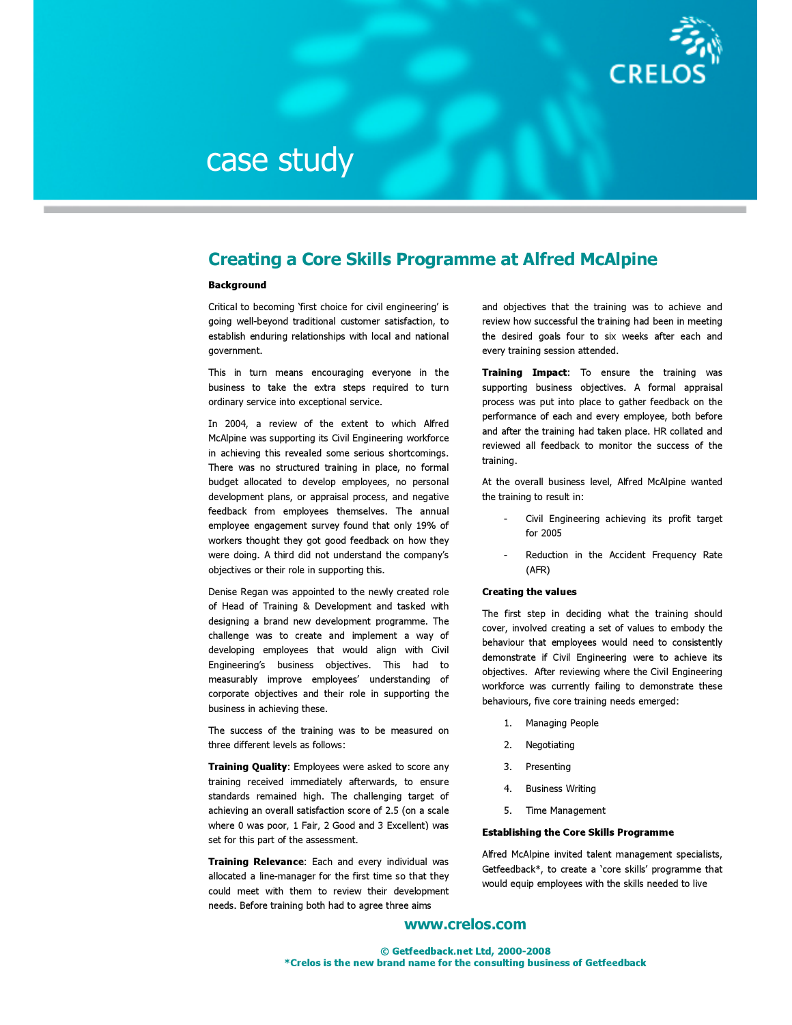

# case study

# Creating a Core Skills Programme at Alfred McAlpine

## **Background**

Critical to becoming 'first choice for civil engineering' is going well-beyond traditional customer satisfaction, to establish enduring relationships with local and national government.

This in turn means encouraging everyone in the business to take the extra steps required to turn ordinary service into exceptional service.

In 2004, a review of the extent to which Alfred McAlpine was supporting its Civil Engineering workforce in achieving this revealed some serious shortcomings. There was no structured training in place, no formal budget allocated to develop employees, no personal development plans, or appraisal process, and negative feedback from employees themselves. The annual employee engagement survey found that only 19% of workers thought they got good feedback on how they were doing. A third did not understand the company's objectives or their role in supporting this.

Denise Regan was appointed to the newly created role of Head of Training & Development and tasked with designing a brand new development programme. The challenge was to create and implement a way of developing employees that would align with Civil Engineering's business objectives. This had to measurably improve employees' understanding of corporate objectives and their role in supporting the business in achieving these.

The success of the training was to be measured on three different levels as follows:

**Training Quality:** Employees were asked to score any training received immediately afterwards, to ensure standards remained high. The challenging target of achieving an overall satisfaction score of 2.5 (on a scale where 0 was poor, 1 Fair, 2 Good and 3 Excellent) was set for this part of the assessment.

**Training Relevance:** Each and every individual was allocated a line-manager for the first time so that they could meet with them to review their development needs. Before training both had to agree three aims

and objectives that the training was to achieve and review how successful the training had been in meeting the desired goals four to six weeks after each and every training session attended.

**Training Impact:** To ensure the training was supporting business objectives. A formal appraisal process was put into place to gather feedback on the performance of each and every employee, both before and after the training had taken place. HR collated and reviewed all feedback to monitor the success of the training.

At the overall business level, Alfred McAlpine wanted the training to result in:

- Civil Engineering achieving its profit target for 2005
- Reduction in the Accident Frequency Rate (AFR)

### Creating the values

The first step in deciding what the training should cover, involved creating a set of values to embody the behaviour that employees would need to consistently demonstrate if Civil Engineering were to achieve its objectives. After reviewing where the Civil Engineering workforce was currently failing to demonstrate these behaviours, five core training needs emerged:

- 1. Managing People
- 2. Negotiating
- 3. Presenting
- 4. Business Writing
- 5. Time Management

#### Establishing the Core Skills Programme

Alfred McAlpine invited talent management specialists, Getfeedback\*, to create a 'core skills' programme that would equip employees with the skills needed to live

## www.crelos.com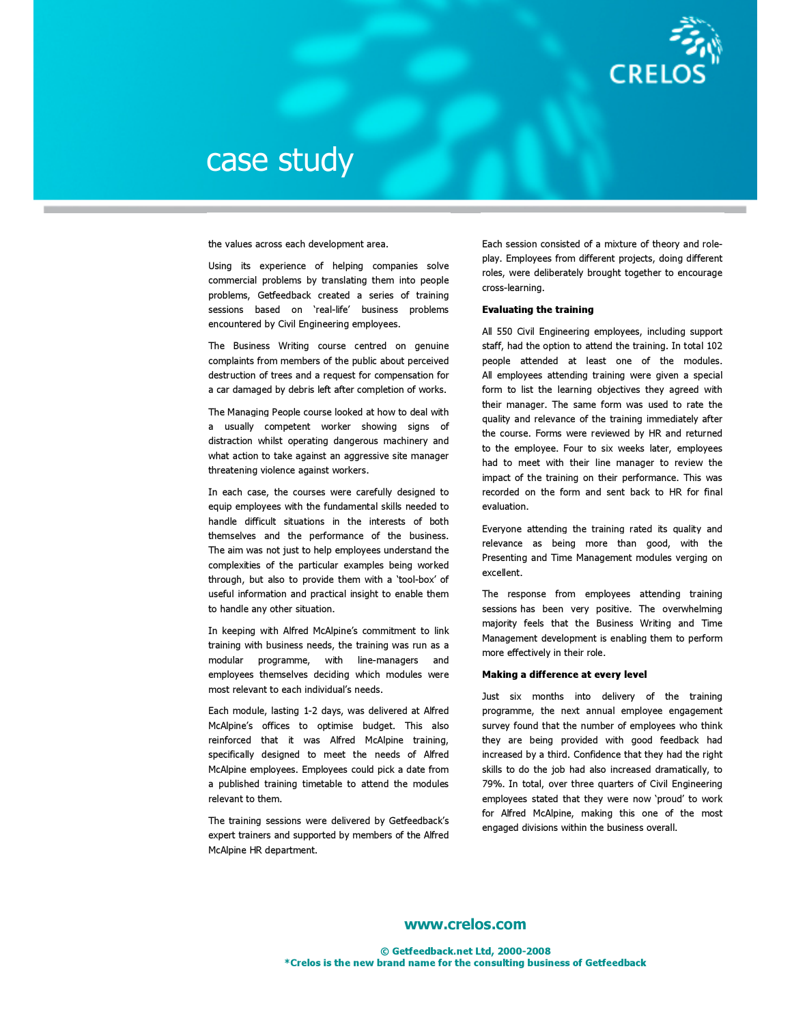

# case study

the values across each development area.

Using its experience of helping companies solve commercial problems by translating them into people problems, Getfeedback created a series of training sessions based on 'real-life' business problems encountered by Civil Engineering employees.

The Business Writing course centred on genuine complaints from members of the public about perceived destruction of trees and a request for compensation for a car damaged by debris left after completion of works.

The Managing People course looked at how to deal with a usually competent worker showing signs of distraction whilst operating dangerous machinery and what action to take against an aggressive site manager threatening violence against workers.

In each case, the courses were carefully designed to equip employees with the fundamental skills needed to handle difficult situations in the interests of both themselves and the performance of the business. The aim was not just to help employees understand the complexities of the particular examples being worked through, but also to provide them with a 'tool-box' of useful information and practical insight to enable them to handle any other situation.

In keeping with Alfred McAlpine's commitment to link training with business needs, the training was run as a modular programme, with line-managers and employees themselves deciding which modules were most relevant to each individual's needs.

Each module, lasting 1-2 days, was delivered at Alfred McAlpine's offices to optimise budget. This also reinforced that it was Alfred McAlpine training, specifically designed to meet the needs of Alfred McAlpine employees. Employees could pick a date from a published training timetable to attend the modules relevant to them.

The training sessions were delivered by Getfeedback's expert trainers and supported by members of the Alfred McAlpine HR department.

Each session consisted of a mixture of theory and roleplay. Employees from different projects, doing different roles, were deliberately brought together to encourage cross-learning.

#### Evaluating the training

All 550 Civil Engineering employees, including support staff, had the option to attend the training. In total 102 people attended at least one of the modules. All employees attending training were given a special form to list the learning objectives they agreed with their manager. The same form was used to rate the quality and relevance of the training immediately after the course. Forms were reviewed by HR and returned to the employee. Four to six weeks later, employees had to meet with their line manager to review the impact of the training on their performance. This was recorded on the form and sent back to HR for final evaluation.

Everyone attending the training rated its quality and relevance as being more than good, with the Presenting and Time Management modules verging on excellent.

The response from employees attending training sessions has been very positive. The overwhelming majority feels that the Business Writing and Time Management development is enabling them to perform more effectively in their role.

### Making a difference at every level

Just six months into delivery of the training programme, the next annual employee engagement survey found that the number of employees who think they are being provided with good feedback had increased by a third. Confidence that they had the right skills to do the job had also increased dramatically, to 79%. In total, over three quarters of Civil Engineering employees stated that they were now 'proud' to work for Alfred McAlpine, making this one of the most engaged divisions within the business overall.

## www.crelos.com